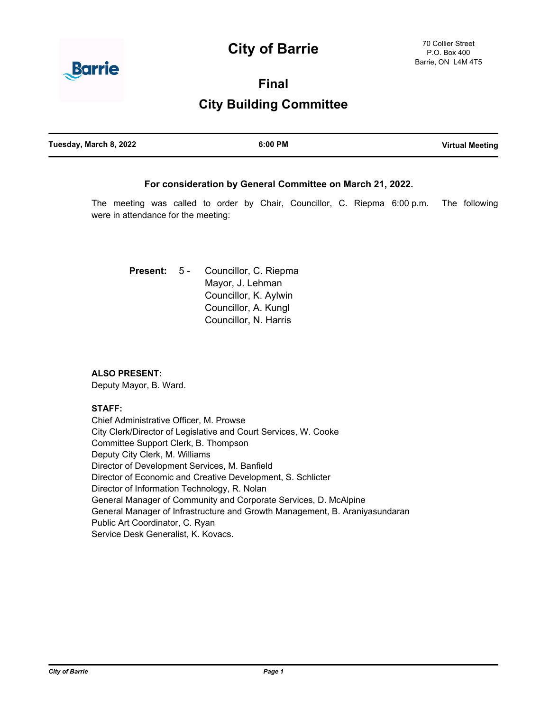# **City of Barrie**



**Final**

# **City Building Committee**

| Tuesday, March 8, 2022 | $6:00$ PM | <b>Virtual Meeting</b> |
|------------------------|-----------|------------------------|
|                        |           |                        |

## **For consideration by General Committee on March 21, 2022.**

The meeting was called to order by Chair, Councillor, C. Riepma 6:00 p.m. The following were in attendance for the meeting:

Councillor, C. Riepma Mayor, J. Lehman Councillor, K. Aylwin Councillor, A. Kungl Councillor, N. Harris **Present:** 5 -

### **ALSO PRESENT:**

Deputy Mayor, B. Ward.

#### **STAFF:**

Chief Administrative Officer, M. Prowse City Clerk/Director of Legislative and Court Services, W. Cooke Committee Support Clerk, B. Thompson Deputy City Clerk, M. Williams Director of Development Services, M. Banfield Director of Economic and Creative Development, S. Schlicter Director of Information Technology, R. Nolan General Manager of Community and Corporate Services, D. McAlpine General Manager of Infrastructure and Growth Management, B. Araniyasundaran Public Art Coordinator, C. Ryan Service Desk Generalist, K. Kovacs.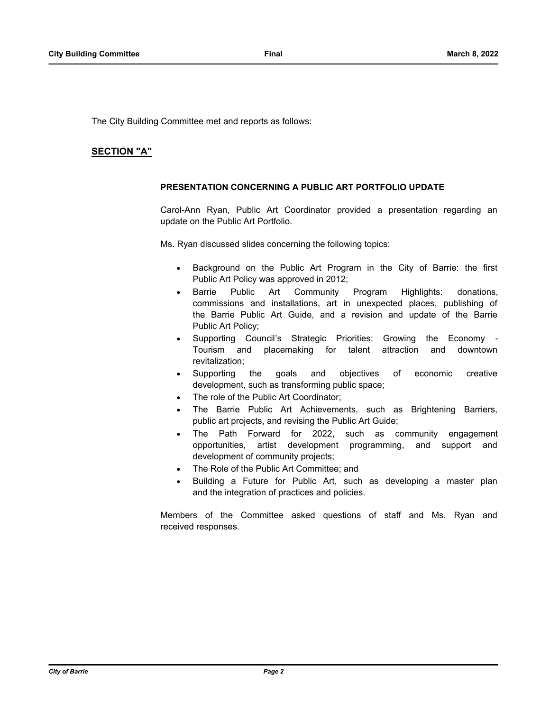The City Building Committee met and reports as follows:

## **SECTION "A"**

#### **PRESENTATION CONCERNING A PUBLIC ART PORTFOLIO UPDATE**

Carol-Ann Ryan, Public Art Coordinator provided a presentation regarding an update on the Public Art Portfolio.

Ms. Ryan discussed slides concerning the following topics:

- Background on the Public Art Program in the City of Barrie: the first Public Art Policy was approved in 2012;
- Barrie Public Art Community Program Highlights: donations, commissions and installations, art in unexpected places, publishing of the Barrie Public Art Guide, and a revision and update of the Barrie Public Art Policy;
- Supporting Council's Strategic Priorities: Growing the Economy -Tourism and placemaking for talent attraction and downtown revitalization;
- · Supporting the goals and objectives of economic creative development, such as transforming public space;
- The role of the Public Art Coordinator;
- The Barrie Public Art Achievements, such as Brightening Barriers, public art projects, and revising the Public Art Guide;
- The Path Forward for 2022, such as community engagement opportunities, artist development programming, and support and development of community projects;
- The Role of the Public Art Committee; and
- Building a Future for Public Art, such as developing a master plan and the integration of practices and policies.

Members of the Committee asked questions of staff and Ms. Ryan and received responses.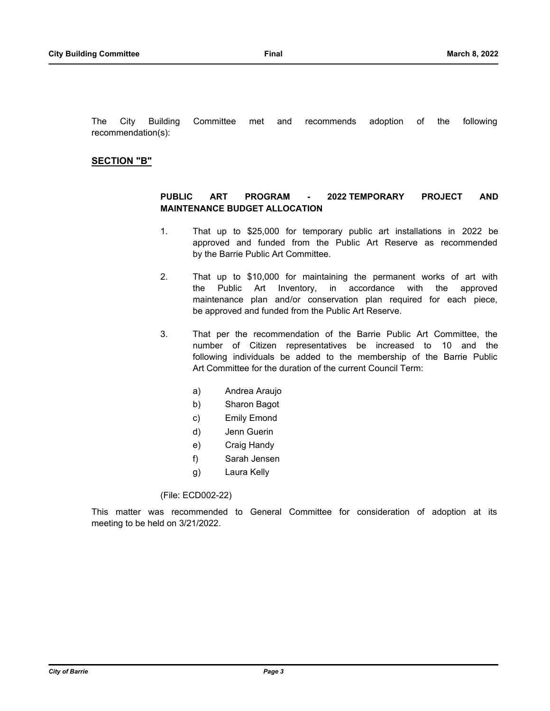The City Building Committee met and recommends adoption of the following recommendation(s):

## **SECTION "B"**

## **PUBLIC ART PROGRAM - 2022 TEMPORARY PROJECT AND MAINTENANCE BUDGET ALLOCATION**

- 1. That up to \$25,000 for temporary public art installations in 2022 be approved and funded from the Public Art Reserve as recommended by the Barrie Public Art Committee.
- 2. That up to \$10,000 for maintaining the permanent works of art with the Public Art Inventory, in accordance with the approved maintenance plan and/or conservation plan required for each piece, be approved and funded from the Public Art Reserve.
- 3. That per the recommendation of the Barrie Public Art Committee, the number of Citizen representatives be increased to 10 and the following individuals be added to the membership of the Barrie Public Art Committee for the duration of the current Council Term:
	- a) Andrea Araujo
	- b) Sharon Bagot
	- c) Emily Emond
	- d) Jenn Guerin
	- e) Craig Handy
	- f) Sarah Jensen
	- g) Laura Kelly

(File: ECD002-22)

This matter was recommended to General Committee for consideration of adoption at its meeting to be held on 3/21/2022.